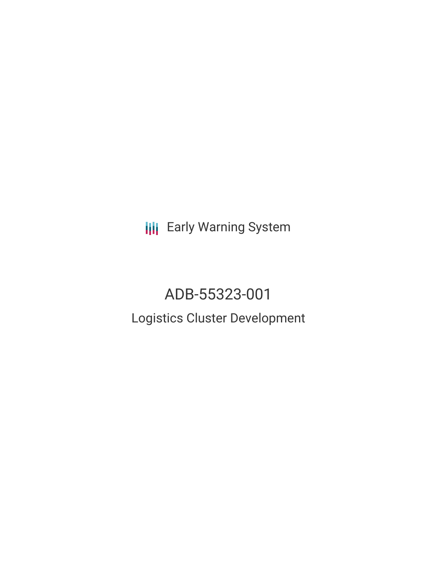**III** Early Warning System

# ADB-55323-001 Logistics Cluster Development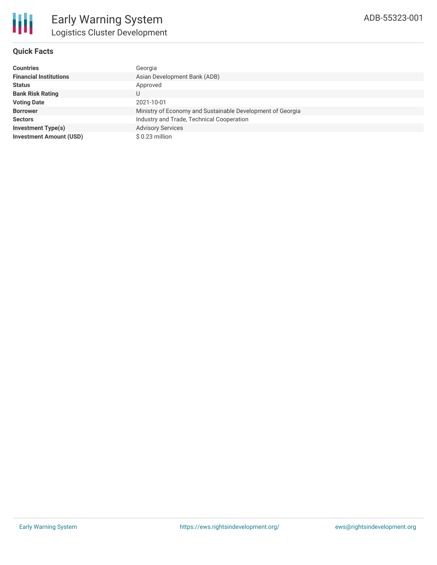## **Quick Facts**

| <b>Countries</b>               | Georgia                                                    |
|--------------------------------|------------------------------------------------------------|
| <b>Financial Institutions</b>  | Asian Development Bank (ADB)                               |
| <b>Status</b>                  | Approved                                                   |
| <b>Bank Risk Rating</b>        | U                                                          |
| <b>Voting Date</b>             | 2021-10-01                                                 |
| <b>Borrower</b>                | Ministry of Economy and Sustainable Development of Georgia |
| <b>Sectors</b>                 | Industry and Trade, Technical Cooperation                  |
| <b>Investment Type(s)</b>      | <b>Advisory Services</b>                                   |
| <b>Investment Amount (USD)</b> | \$ 0.23 million                                            |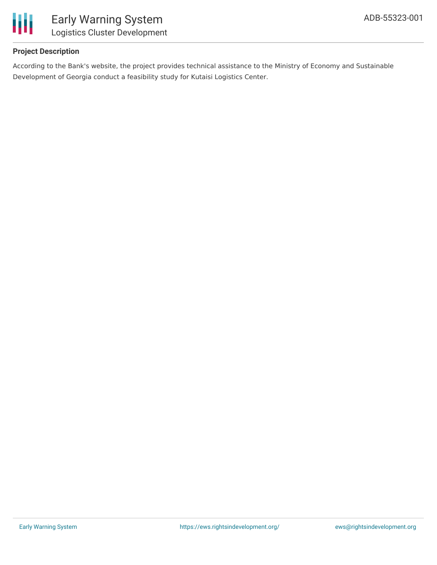

## **Project Description**

According to the Bank's website, the project provides technical assistance to the Ministry of Economy and Sustainable Development of Georgia conduct a feasibility study for Kutaisi Logistics Center.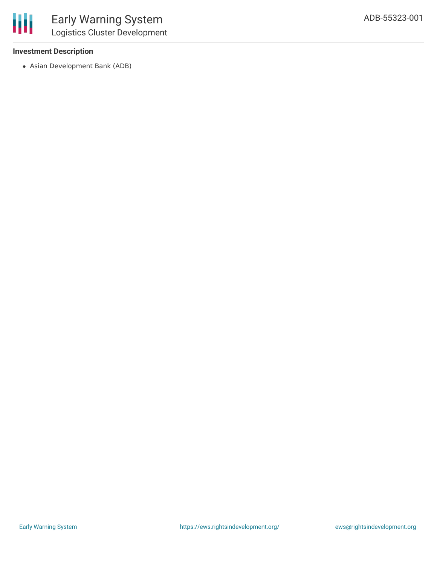### **Investment Description**

Asian Development Bank (ADB)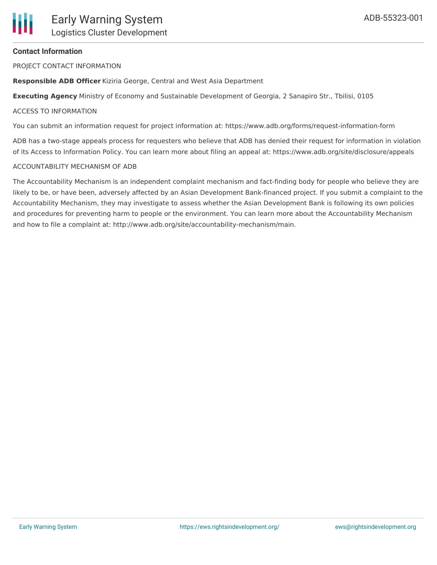# **Contact Information**

PROJECT CONTACT INFORMATION

**Responsible ADB Officer** Kiziria George, Central and West Asia Department

**Executing Agency** Ministry of Economy and Sustainable Development of Georgia, 2 Sanapiro Str., Tbilisi, 0105

## ACCESS TO INFORMATION

You can submit an information request for project information at: https://www.adb.org/forms/request-information-form

ADB has a two-stage appeals process for requesters who believe that ADB has denied their request for information in violation of its Access to Information Policy. You can learn more about filing an appeal at: https://www.adb.org/site/disclosure/appeals

## ACCOUNTABILITY MECHANISM OF ADB

The Accountability Mechanism is an independent complaint mechanism and fact-finding body for people who believe they are likely to be, or have been, adversely affected by an Asian Development Bank-financed project. If you submit a complaint to the Accountability Mechanism, they may investigate to assess whether the Asian Development Bank is following its own policies and procedures for preventing harm to people or the environment. You can learn more about the Accountability Mechanism and how to file a complaint at: http://www.adb.org/site/accountability-mechanism/main.